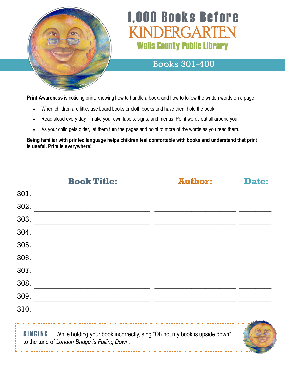

# **1,000 Books Before** INDERGARTEN **Wells County Public Library**

#### Books 301-400

**Print Awareness** is noticing print, knowing how to handle a book, and how to follow the written words on a page.

- When children are little, use board books or cloth books and have them hold the book.
- Read aloud every day—make your own labels, signs, and menus. Point words out all around you.
- As your child gets older, let them turn the pages and point to more of the words as you read them.

**Being familiar with printed language helps children feel comfortable with books and understand that print is useful. Print is everywhere!**

**Book Title: Author: Date:**

301.

| <u>JUI.</u>                                                                                                                                 |  |
|---------------------------------------------------------------------------------------------------------------------------------------------|--|
| 302.                                                                                                                                        |  |
| 303.                                                                                                                                        |  |
| 304.                                                                                                                                        |  |
| 305.                                                                                                                                        |  |
| 306.                                                                                                                                        |  |
| 307.                                                                                                                                        |  |
| 308.                                                                                                                                        |  |
| 309.                                                                                                                                        |  |
| 310.                                                                                                                                        |  |
| <b>SINGING</b> - While holding your book incorrectly, sing "Oh no, my book is upside down"<br>to the tune of London Bridge is Falling Down. |  |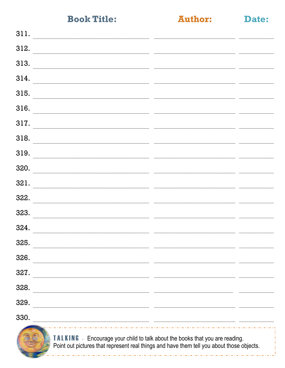**Author:** 

Date:

| 311.<br><u> 1989 - Johann Barn, mars ann an t-Amhain ann an t-Amhain an t-Amhain ann an t-Amhain an t-Amhain ann an t-Amh</u> |        |  |
|-------------------------------------------------------------------------------------------------------------------------------|--------|--|
| 312.                                                                                                                          |        |  |
| 313.                                                                                                                          |        |  |
| 314.                                                                                                                          |        |  |
| 315.                                                                                                                          |        |  |
| 316.                                                                                                                          | $\sim$ |  |
| 317.                                                                                                                          |        |  |
| 318.                                                                                                                          |        |  |
| 319.<br><u> 1989 - Jan James James, martin amerikan basar dan berasar basar dalam personal dan berasar dalam basar dalam</u>  |        |  |
| 320.                                                                                                                          |        |  |
| 321.                                                                                                                          |        |  |
| 322.<br>the contract of the contract of the contract of the contract of the contract of the contract of                       |        |  |
| 323.                                                                                                                          |        |  |
| 324.                                                                                                                          |        |  |
| 325.                                                                                                                          |        |  |
| 326.                                                                                                                          |        |  |
| 327.                                                                                                                          |        |  |
| 328.                                                                                                                          |        |  |
| 329.                                                                                                                          |        |  |
| 330.                                                                                                                          |        |  |
|                                                                                                                               |        |  |



**TALKING** - Encourage your child to talk about the books that you are reading. Point out pictures that represent real things and have them tell you about those objects.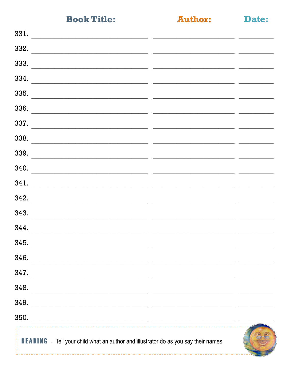**Author:** 

Date:

| 331.                                                                                                                          |  |
|-------------------------------------------------------------------------------------------------------------------------------|--|
| 332.                                                                                                                          |  |
| 333.                                                                                                                          |  |
| 334.                                                                                                                          |  |
| 335.                                                                                                                          |  |
| 336.                                                                                                                          |  |
| 337.                                                                                                                          |  |
| 338.                                                                                                                          |  |
| 339.                                                                                                                          |  |
| 340.                                                                                                                          |  |
| 341.                                                                                                                          |  |
| 342.                                                                                                                          |  |
| 343.                                                                                                                          |  |
| 344.                                                                                                                          |  |
| 345.                                                                                                                          |  |
| 346.                                                                                                                          |  |
| 347.<br><u> 1989 - Johann Barbara, martin amerikan basar dan berasal dalam basar dalam basar dalam basar dalam basar dala</u> |  |
| 348.<br><u> 1980 - Johann Stoff, amerikan bestein ing disebut di sebagai personal di sebagai personal di sebagai personal</u> |  |
| 349.<br><u> 1999 - Jan James James Barnett, amerikan bahasa (j. 1989)</u>                                                     |  |
| 350.<br><u> 1989 - Johann Stoff, amerikansk politiker (d. 1989)</u>                                                           |  |
| <b>READING</b> - Tell your child what an author and illustrator do as you say their names.                                    |  |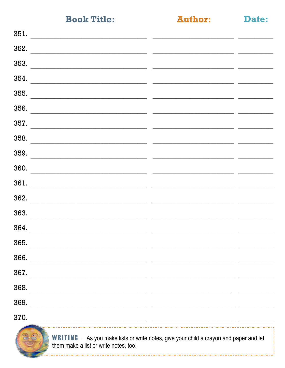**Author:** 

Date:

| 351.                                                                                                                                   |  |
|----------------------------------------------------------------------------------------------------------------------------------------|--|
| 352.                                                                                                                                   |  |
| 353.                                                                                                                                   |  |
| 354.                                                                                                                                   |  |
| 355.                                                                                                                                   |  |
| 356.                                                                                                                                   |  |
| 357.                                                                                                                                   |  |
| 358.                                                                                                                                   |  |
| 359.                                                                                                                                   |  |
| 360.                                                                                                                                   |  |
| 361.                                                                                                                                   |  |
| 362.                                                                                                                                   |  |
| 363.                                                                                                                                   |  |
| 364.                                                                                                                                   |  |
| 365.                                                                                                                                   |  |
| 366.                                                                                                                                   |  |
| 367.                                                                                                                                   |  |
| 368.<br>the control of the control of the control of the control of the control of the control of                                      |  |
| 369.                                                                                                                                   |  |
| 370.<br><u> 1989 - Johann Stein, marwolaethau (b. 1989)</u>                                                                            |  |
| <b>WRITING</b> - As you make lists or write notes, give your child a crayon and paper and let<br>them make a list or write notes, too. |  |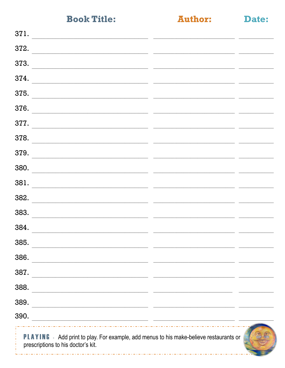**Author:** 

Date:

| 371.                                                                                                                        |  |
|-----------------------------------------------------------------------------------------------------------------------------|--|
| 372.                                                                                                                        |  |
| 373.                                                                                                                        |  |
| 374.                                                                                                                        |  |
| 375.                                                                                                                        |  |
| 376.                                                                                                                        |  |
| 377.                                                                                                                        |  |
| 378.<br>the contract of the contract of the contract of the contract of the contract of the contract of                     |  |
| 379.                                                                                                                        |  |
| 380.                                                                                                                        |  |
| 381.                                                                                                                        |  |
| 382.                                                                                                                        |  |
| 383.                                                                                                                        |  |
| 384.                                                                                                                        |  |
| 385.                                                                                                                        |  |
| 386.                                                                                                                        |  |
| 387.                                                                                                                        |  |
| 388.<br>the control of the control of the control of the control of the control of the control of                           |  |
| 389.<br><u> 1980 - Jan Barnett, fransk politik (d. 1980)</u>                                                                |  |
| 390.<br><u> 1989 - Johann Barn, mars ann an t-Amhair an t-Amhair an t-Amhair an t-Amhair an t-Amhair an t-Amhair an t-A</u> |  |
| PLAYING - Add print to play. For example, add menus to his make-believe restaurants or                                      |  |

prescriptions to his doctor's kit.

والمتوازن والمتوازن والمتوازن والمتوازن والمتوازن والمتوازن والمتوازن والمتوازن